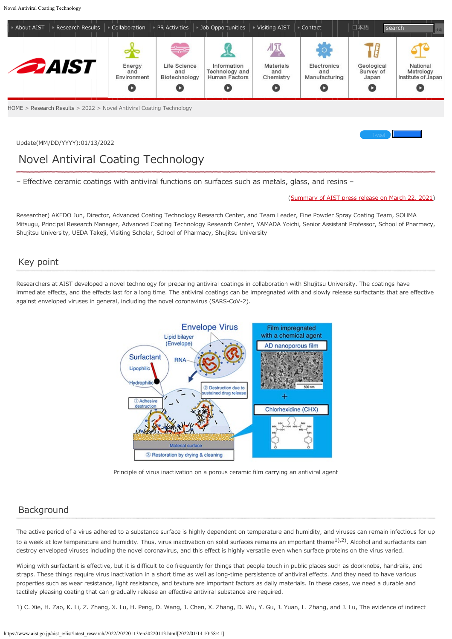

[HOME](https://www.aist.go.jp/index_en.html) > [Research Results](https://www.aist.go.jp/aist_e/list/us_latest_research.html) > 2022 > Novel Antiviral Coating Technology

Update(MM/DD/YYYY):01/13/2022

# Novel Antiviral Coating Technology

– Effective ceramic coatings with antiviral functions on surfaces such as metals, glass, and resins –

#### [\(Summary of AIST press release on March 22, 2021](https://www.aist.go.jp/aist_j/press_release/pr2021/pr20210322/pr20210322.html))

[Tweet](https://twitter.com/share) **Like** 2008

Researcher) AKEDO Jun, Director, Advanced Coating Technology Research Center, and Team Leader, Fine Powder Spray Coating Team, SOHMA Mitsugu, Principal Research Manager, Advanced Coating Technology Research Center, YAMADA Yoichi, Senior Assistant Professor, School of Pharmacy, Shujitsu University, UEDA Takeji, Visiting Scholar, School of Pharmacy, Shujitsu University

# Key point

Researchers at AIST developed a novel technology for preparing antiviral coatings in collaboration with Shujitsu University. The coatings have immediate effects, and the effects last for a long time. The antiviral coatings can be impregnated with and slowly release surfactants that are effective against enveloped viruses in general, including the novel coronavirus (SARS-CoV-2).



Principle of virus inactivation on a porous ceramic film carrying an antiviral agent

## Background

The active period of a virus adhered to a substance surface is highly dependent on temperature and humidity, and viruses can remain infectious for up to a week at low temperature and humidity. Thus, virus inactivation on solid surfaces remains an important theme $1$ ,  $2$ ). Alcohol and surfactants can destroy enveloped viruses including the novel coronavirus, and this effect is highly versatile even when surface proteins on the virus varied.

Wiping with surfactant is effective, but it is difficult to do frequently for things that people touch in public places such as doorknobs, handrails, and straps. These things require virus inactivation in a short time as well as long-time persistence of antiviral effects. And they need to have various properties such as wear resistance, light resistance, and texture are important factors as daily materials. In these cases, we need a durable and tactilely pleasing coating that can gradually release an effective antiviral substance are required.

1) C. Xie, H. Zao, K. Li, Z. Zhang, X. Lu, H. Peng, D. Wang, J. Chen, X. Zhang, D. Wu, Y. Gu, J. Yuan, L. Zhang, and J. Lu, The evidence of indirect